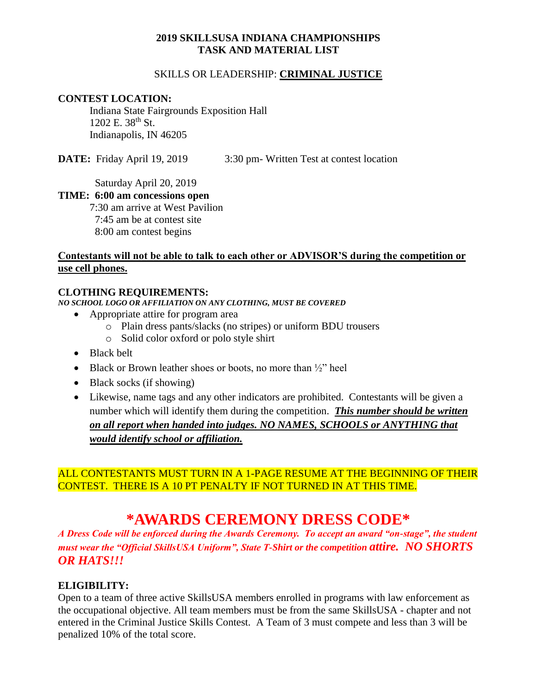### **2019 SKILLSUSA INDIANA CHAMPIONSHIPS TASK AND MATERIAL LIST**

### SKILLS OR LEADERSHIP: **CRIMINAL JUSTICE**

### **CONTEST LOCATION:**

Indiana State Fairgrounds Exposition Hall  $1202$  E.  $38^{th}$  St. Indianapolis, IN 46205

**DATE:** Friday April 19, 2019 3:30 pm- Written Test at contest location

Saturday April 20, 2019

### **TIME: 6:00 am concessions open**

7:30 am arrive at West Pavilion 7:45 am be at contest site 8:00 am contest begins

### **Contestants will not be able to talk to each other or ADVISOR'S during the competition or use cell phones.**

### **CLOTHING REQUIREMENTS:**

*NO SCHOOL LOGO OR AFFILIATION ON ANY CLOTHING, MUST BE COVERED*

- Appropriate attire for program area
	- o Plain dress pants/slacks (no stripes) or uniform BDU trousers
	- o Solid color oxford or polo style shirt
- Black belt
- Black or Brown leather shoes or boots, no more than  $\frac{1}{2}$ " heel
- Black socks (if showing)
- Likewise, name tags and any other indicators are prohibited. Contestants will be given a number which will identify them during the competition. *This number should be written on all report when handed into judges. NO NAMES, SCHOOLS or ANYTHING that would identify school or affiliation.*

## ALL CONTESTANTS MUST TURN IN A 1-PAGE RESUME AT THE BEGINNING OF THEIR CONTEST. THERE IS A 10 PT PENALTY IF NOT TURNED IN AT THIS TIME.

# **\*AWARDS CEREMONY DRESS CODE\***

*A Dress Code will be enforced during the Awards Ceremony. To accept an award "on-stage", the student must wear the "Official SkillsUSA Uniform", State T-Shirt or the competition attire. NO SHORTS OR HATS!!!*

## **ELIGIBILITY:**

Open to a team of three active SkillsUSA members enrolled in programs with law enforcement as the occupational objective. All team members must be from the same SkillsUSA - chapter and not entered in the Criminal Justice Skills Contest. A Team of 3 must compete and less than 3 will be penalized 10% of the total score.